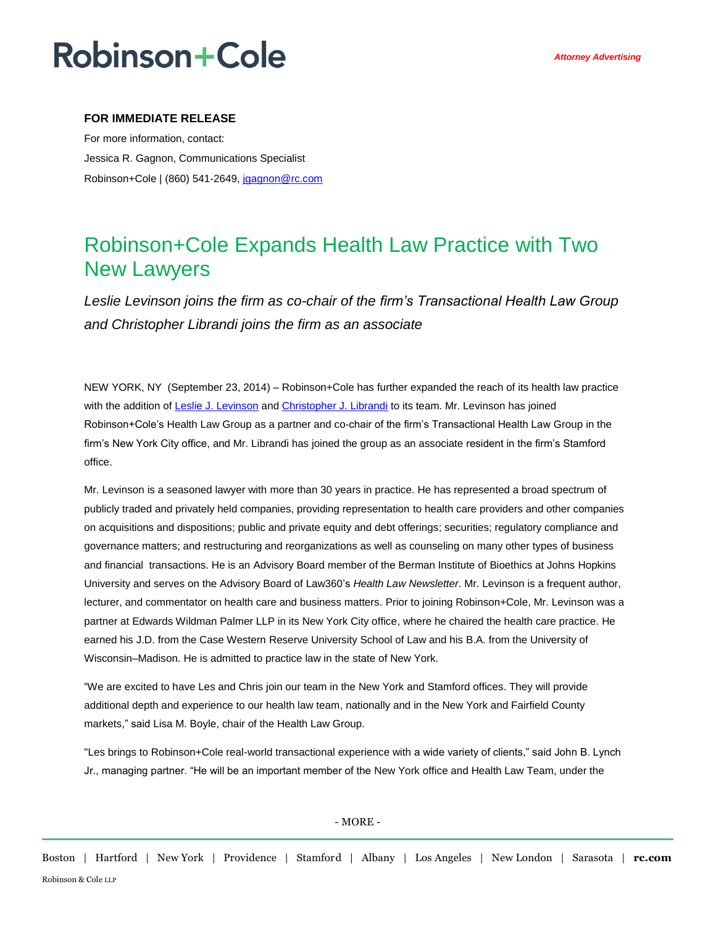## **Robinson+Cole**

### **FOR IMMEDIATE RELEASE**

For more information, contact: Jessica R. Gagnon, Communications Specialist Robinson+Cole | (860) 541-2649[, jgagnon@rc.com](mailto:jgagnon@rc.com)

### Robinson+Cole Expands Health Law Practice with Two New Lawyers

*Leslie Levinson joins the firm as co-chair of the firm's Transactional Health Law Group and Christopher Librandi joins the firm as an associate* 

NEW YORK, NY (September 23, 2014) – Robinson+Cole has further expanded the reach of its health law practice with the addition o[f Leslie J. Levinson](http://www.rc.com/people/LeslieJLevinson.cfm) and [Christopher J. Librandi](http://www.rc.com/people/ChristopherJLibrandi.cfm) to its team. Mr. Levinson has joined Robinson+Cole's Health Law Group as a partner and co-chair of the firm's Transactional Health Law Group in the firm's New York City office, and Mr. Librandi has joined the group as an associate resident in the firm's Stamford office.

Mr. Levinson is a seasoned lawyer with more than 30 years in practice. He has represented a broad spectrum of publicly traded and privately held companies, providing representation to health care providers and other companies on acquisitions and dispositions; public and private equity and debt offerings; securities; regulatory compliance and governance matters; and restructuring and reorganizations as well as counseling on many other types of business and financial transactions. He is an Advisory Board member of the Berman Institute of Bioethics at Johns Hopkins University and serves on the Advisory Board of Law360's *Health Law Newsletter*. Mr. Levinson is a frequent author, lecturer, and commentator on health care and business matters. Prior to joining Robinson+Cole, Mr. Levinson was a partner at Edwards Wildman Palmer LLP in its New York City office, where he chaired the health care practice. He earned his J.D. from the Case Western Reserve University School of Law and his B.A. from the University of Wisconsin–Madison. He is admitted to practice law in the state of New York.

"We are excited to have Les and Chris join our team in the New York and Stamford offices. They will provide additional depth and experience to our health law team, nationally and in the New York and Fairfield County markets," said Lisa M. Boyle, chair of the Health Law Group.

"Les brings to Robinson+Cole real-world transactional experience with a wide variety of clients," said John B. Lynch Jr., managing partner. "He will be an important member of the New York office and Health Law Team, under the

- MORE -

Boston | Hartford | New York | Providence | Stamford | Albany | Los Angeles | New London | Sarasota | **rc.com** Robinson & Cole LLP